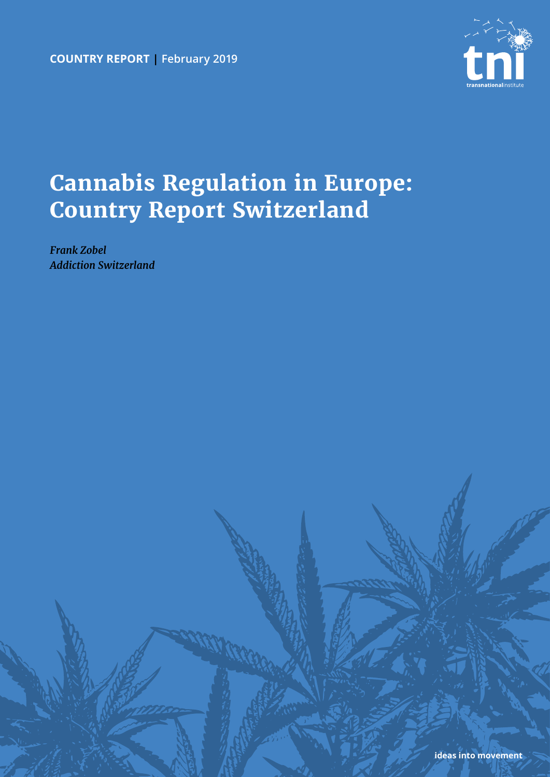**country report | February 2019**



# **Cannabis Regulation in Europe: Country Report Switzerland**

*Frank Zobel Addiction Switzerland*

**ideas into movement**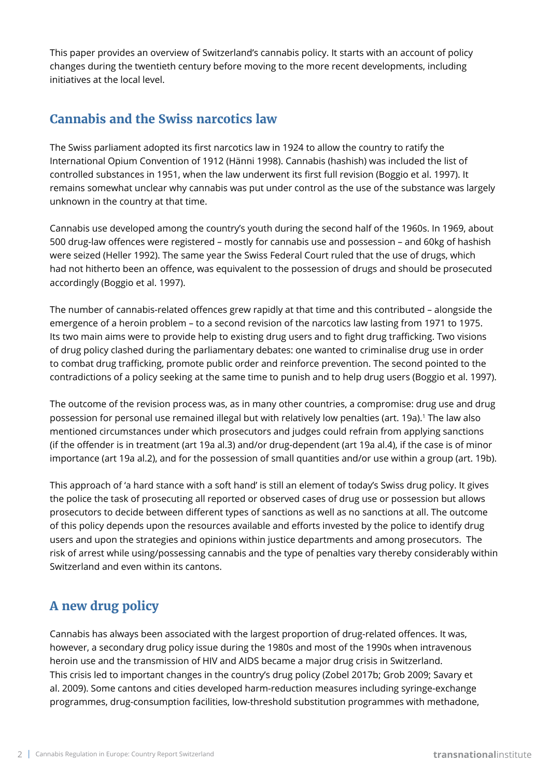This paper provides an overview of Switzerland's cannabis policy. It starts with an account of policy changes during the twentieth century before moving to the more recent developments, including initiatives at the local level.

#### **Cannabis and the Swiss narcotics law**

The Swiss parliament adopted its first narcotics law in 1924 to allow the country to ratify the International Opium Convention of 1912 (Hänni 1998). Cannabis (hashish) was included the list of controlled substances in 1951, when the law underwent its first full revision (Boggio et al. 1997). It remains somewhat unclear why cannabis was put under control as the use of the substance was largely unknown in the country at that time.

Cannabis use developed among the country's youth during the second half of the 1960s. In 1969, about 500 drug-law offences were registered – mostly for cannabis use and possession – and 60kg of hashish were seized (Heller 1992). The same year the Swiss Federal Court ruled that the use of drugs, which had not hitherto been an offence, was equivalent to the possession of drugs and should be prosecuted accordingly (Boggio et al. 1997).

The number of cannabis-related offences grew rapidly at that time and this contributed – alongside the emergence of a heroin problem – to a second revision of the narcotics law lasting from 1971 to 1975. Its two main aims were to provide help to existing drug users and to fight drug trafficking. Two visions of drug policy clashed during the parliamentary debates: one wanted to criminalise drug use in order to combat drug trafficking, promote public order and reinforce prevention. The second pointed to the contradictions of a policy seeking at the same time to punish and to help drug users (Boggio et al. 1997).

The outcome of the revision process was, as in many other countries, a compromise: drug use and drug possession for personal use remained illegal but with relatively low penalties (art. 19a).<sup>1</sup> The law also mentioned circumstances under which prosecutors and judges could refrain from applying sanctions (if the offender is in treatment (art 19a al.3) and/or drug-dependent (art 19a al.4), if the case is of minor importance (art 19a al.2), and for the possession of small quantities and/or use within a group (art. 19b).

This approach of 'a hard stance with a soft hand' is still an element of today's Swiss drug policy. It gives the police the task of prosecuting all reported or observed cases of drug use or possession but allows prosecutors to decide between different types of sanctions as well as no sanctions at all. The outcome of this policy depends upon the resources available and efforts invested by the police to identify drug users and upon the strategies and opinions within justice departments and among prosecutors. The risk of arrest while using/possessing cannabis and the type of penalties vary thereby considerably within Switzerland and even within its cantons.

## **A new drug policy**

Cannabis has always been associated with the largest proportion of drug-related offences. It was, however, a secondary drug policy issue during the 1980s and most of the 1990s when intravenous heroin use and the transmission of HIV and AIDS became a major drug crisis in Switzerland. This crisis led to important changes in the country's drug policy (Zobel 2017b; Grob 2009; Savary et al. 2009). Some cantons and cities developed harm-reduction measures including syringe-exchange programmes, drug-consumption facilities, low-threshold substitution programmes with methadone,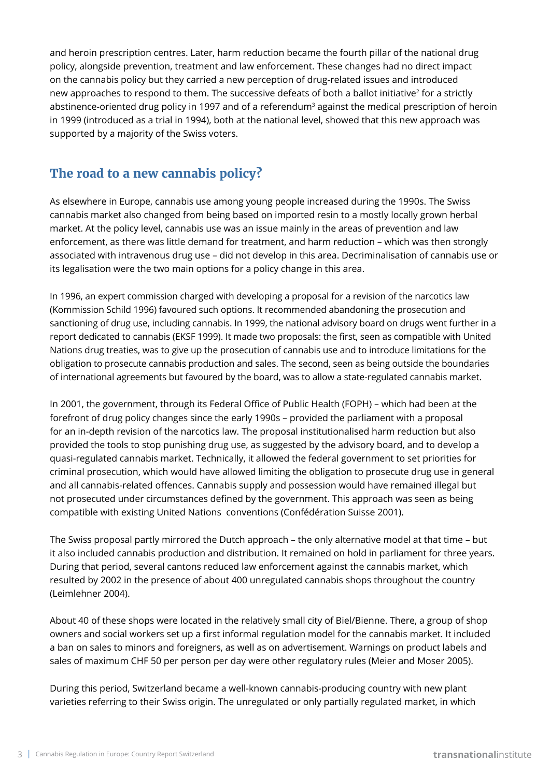and heroin prescription centres. Later, harm reduction became the fourth pillar of the national drug policy, alongside prevention, treatment and law enforcement. These changes had no direct impact on the cannabis policy but they carried a new perception of drug-related issues and introduced new approaches to respond to them. The successive defeats of both a ballot initiative<sup>2</sup> for a strictly abstinence-oriented drug policy in 1997 and of a referendum<sup>3</sup> against the medical prescription of heroin in 1999 (introduced as a trial in 1994), both at the national level, showed that this new approach was supported by a majority of the Swiss voters.

## **The road to a new cannabis policy?**

As elsewhere in Europe, cannabis use among young people increased during the 1990s. The Swiss cannabis market also changed from being based on imported resin to a mostly locally grown herbal market. At the policy level, cannabis use was an issue mainly in the areas of prevention and law enforcement, as there was little demand for treatment, and harm reduction – which was then strongly associated with intravenous drug use – did not develop in this area. Decriminalisation of cannabis use or its legalisation were the two main options for a policy change in this area.

In 1996, an expert commission charged with developing a proposal for a revision of the narcotics law (Kommission Schild 1996) favoured such options. It recommended abandoning the prosecution and sanctioning of drug use, including cannabis. In 1999, the national advisory board on drugs went further in a report dedicated to cannabis (EKSF 1999). It made two proposals: the first, seen as compatible with United Nations drug treaties, was to give up the prosecution of cannabis use and to introduce limitations for the obligation to prosecute cannabis production and sales. The second, seen as being outside the boundaries of international agreements but favoured by the board, was to allow a state-regulated cannabis market.

In 2001, the government, through its Federal Office of Public Health (FOPH) – which had been at the forefront of drug policy changes since the early 1990s – provided the parliament with a proposal for an in-depth revision of the narcotics law. The proposal institutionalised harm reduction but also provided the tools to stop punishing drug use, as suggested by the advisory board, and to develop a quasi-regulated cannabis market. Technically, it allowed the federal government to set priorities for criminal prosecution, which would have allowed limiting the obligation to prosecute drug use in general and all cannabis-related offences. Cannabis supply and possession would have remained illegal but not prosecuted under circumstances defined by the government. This approach was seen as being compatible with existing United Nations conventions (Confédération Suisse 2001).

The Swiss proposal partly mirrored the Dutch approach – the only alternative model at that time – but it also included cannabis production and distribution. It remained on hold in parliament for three years. During that period, several cantons reduced law enforcement against the cannabis market, which resulted by 2002 in the presence of about 400 unregulated cannabis shops throughout the country (Leimlehner 2004).

About 40 of these shops were located in the relatively small city of Biel/Bienne. There, a group of shop owners and social workers set up a first informal regulation model for the cannabis market. It included a ban on sales to minors and foreigners, as well as on advertisement. Warnings on product labels and sales of maximum CHF 50 per person per day were other regulatory rules (Meier and Moser 2005).

During this period, Switzerland became a well-known cannabis-producing country with new plant varieties referring to their Swiss origin. The unregulated or only partially regulated market, in which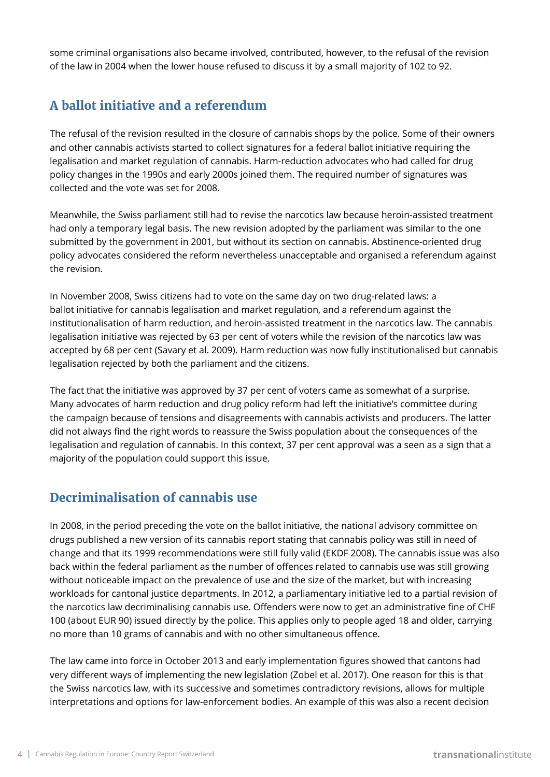some criminal organisations also became involved, contributed, however, to the refusal of the revision of the law in 2004 when the lower house refused to discuss it by a small majority of 102 to 92.

# **A ballot initiative and a referendum**

The refusal of the revision resulted in the closure of cannabis shops by the police. Some of their owners and other cannabis activists started to collect signatures for a federal ballot initiative requiring the legalisation and market regulation of cannabis. Harm-reduction advocates who had called for drug policy changes in the 1990s and early 2000s joined them. The required number of signatures was collected and the vote was set for 2008.

Meanwhile, the Swiss parliament still had to revise the narcotics law because heroin-assisted treatment had only a temporary legal basis. The new revision adopted by the parliament was similar to the one submitted by the government in 2001, but without its section on cannabis. Abstinence-oriented drug policy advocates considered the reform nevertheless unacceptable and organised a referendum against the revision.

In November 2008, Swiss citizens had to vote on the same day on two drug-related laws: a ballot initiative for cannabis legalisation and market regulation, and a referendum against the institutionalisation of harm reduction, and heroin-assisted treatment in the narcotics law. The cannabis legalisation initiative was rejected by 63 per cent of voters while the revision of the narcotics law was accepted by 68 per cent (Savary et al. 2009). Harm reduction was now fully institutionalised but cannabis legalisation rejected by both the parliament and the citizens.

The fact that the initiative was approved by 37 per cent of voters came as somewhat of a surprise. Many advocates of harm reduction and drug policy reform had left the initiative's committee during the campaign because of tensions and disagreements with cannabis activists and producers. The latter did not always find the right words to reassure the Swiss population about the consequences of the legalisation and regulation of cannabis. In this context, 37 per cent approval was a seen as a sign that a majority of the population could support this issue.

## **Decriminalisation of cannabis use**

In 2008, in the period preceding the vote on the ballot initiative, the national advisory committee on drugs published a new version of its cannabis report stating that cannabis policy was still in need of change and that its 1999 recommendations were still fully valid (EKDF 2008). The cannabis issue was also back within the federal parliament as the number of offences related to cannabis use was still growing without noticeable impact on the prevalence of use and the size of the market, but with increasing workloads for cantonal justice departments. In 2012, a parliamentary initiative led to a partial revision of the narcotics law decriminalising cannabis use. Offenders were now to get an administrative fine of CHF 100 (about EUR 90) issued directly by the police. This applies only to people aged 18 and older, carrying no more than 10 grams of cannabis and with no other simultaneous offence.

The law came into force in October 2013 and early implementation figures showed that cantons had very different ways of implementing the new legislation (Zobel et al. 2017). One reason for this is that the Swiss narcotics law, with its successive and sometimes contradictory revisions, allows for multiple interpretations and options for law-enforcement bodies. An example of this was also a recent decision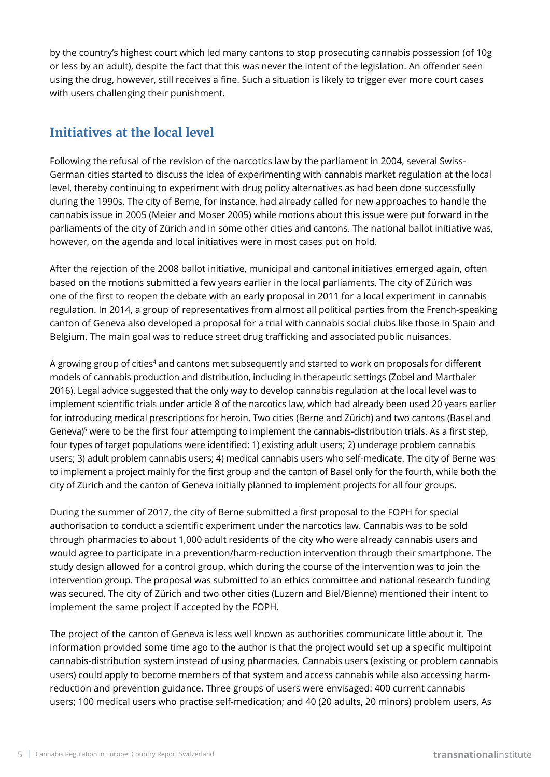by the country's highest court which led many cantons to stop prosecuting cannabis possession (of 10g or less by an adult), despite the fact that this was never the intent of the legislation. An offender seen using the drug, however, still receives a fine. Such a situation is likely to trigger ever more court cases with users challenging their punishment.

#### **Initiatives at the local level**

Following the refusal of the revision of the narcotics law by the parliament in 2004, several Swiss-German cities started to discuss the idea of experimenting with cannabis market regulation at the local level, thereby continuing to experiment with drug policy alternatives as had been done successfully during the 1990s. The city of Berne, for instance, had already called for new approaches to handle the cannabis issue in 2005 (Meier and Moser 2005) while motions about this issue were put forward in the parliaments of the city of Zürich and in some other cities and cantons. The national ballot initiative was, however, on the agenda and local initiatives were in most cases put on hold.

After the rejection of the 2008 ballot initiative, municipal and cantonal initiatives emerged again, often based on the motions submitted a few years earlier in the local parliaments. The city of Zürich was one of the first to reopen the debate with an early proposal in 2011 for a local experiment in cannabis regulation. In 2014, a group of representatives from almost all political parties from the French-speaking canton of Geneva also developed a proposal for a trial with cannabis social clubs like those in Spain and Belgium. The main goal was to reduce street drug trafficking and associated public nuisances.

A growing group of cities<sup>4</sup> and cantons met subsequently and started to work on proposals for different models of cannabis production and distribution, including in therapeutic settings (Zobel and Marthaler 2016). Legal advice suggested that the only way to develop cannabis regulation at the local level was to implement scientific trials under article 8 of the narcotics law, which had already been used 20 years earlier for introducing medical prescriptions for heroin. Two cities (Berne and Zürich) and two cantons (Basel and Geneva)<sup>5</sup> were to be the first four attempting to implement the cannabis-distribution trials. As a first step, four types of target populations were identified: 1) existing adult users; 2) underage problem cannabis users; 3) adult problem cannabis users; 4) medical cannabis users who self-medicate. The city of Berne was to implement a project mainly for the first group and the canton of Basel only for the fourth, while both the city of Zürich and the canton of Geneva initially planned to implement projects for all four groups.

During the summer of 2017, the city of Berne submitted a first proposal to the FOPH for special authorisation to conduct a scientific experiment under the narcotics law. Cannabis was to be sold through pharmacies to about 1,000 adult residents of the city who were already cannabis users and would agree to participate in a prevention/harm-reduction intervention through their smartphone. The study design allowed for a control group, which during the course of the intervention was to join the intervention group. The proposal was submitted to an ethics committee and national research funding was secured. The city of Zürich and two other cities (Luzern and Biel/Bienne) mentioned their intent to implement the same project if accepted by the FOPH.

The project of the canton of Geneva is less well known as authorities communicate little about it. The information provided some time ago to the author is that the project would set up a specific multipoint cannabis-distribution system instead of using pharmacies. Cannabis users (existing or problem cannabis users) could apply to become members of that system and access cannabis while also accessing harmreduction and prevention guidance. Three groups of users were envisaged: 400 current cannabis users; 100 medical users who practise self-medication; and 40 (20 adults, 20 minors) problem users. As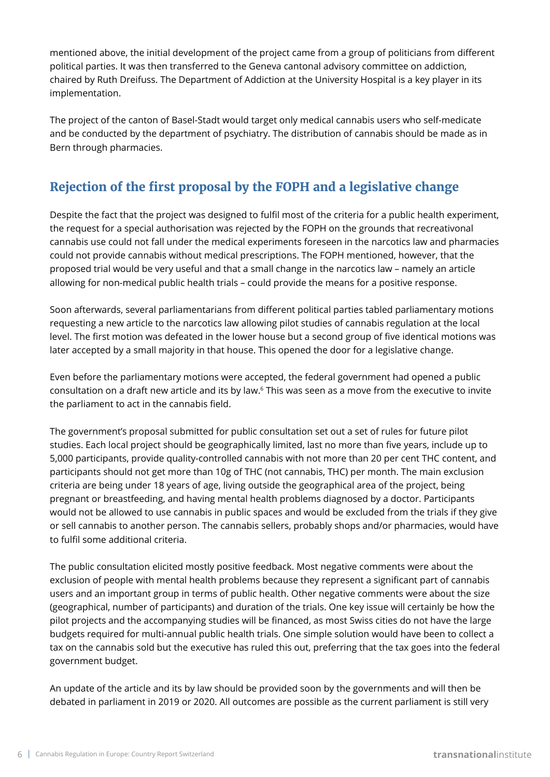mentioned above, the initial development of the project came from a group of politicians from different political parties. It was then transferred to the Geneva cantonal advisory committee on addiction, chaired by Ruth Dreifuss. The Department of Addiction at the University Hospital is a key player in its implementation.

The project of the canton of Basel-Stadt would target only medical cannabis users who self-medicate and be conducted by the department of psychiatry. The distribution of cannabis should be made as in Bern through pharmacies.

# **Rejection of the first proposal by the FOPH and a legislative change**

Despite the fact that the project was designed to fulfil most of the criteria for a public health experiment, the request for a special authorisation was rejected by the FOPH on the grounds that recreativonal cannabis use could not fall under the medical experiments foreseen in the narcotics law and pharmacies could not provide cannabis without medical prescriptions. The FOPH mentioned, however, that the proposed trial would be very useful and that a small change in the narcotics law – namely an article allowing for non-medical public health trials – could provide the means for a positive response.

Soon afterwards, several parliamentarians from different political parties tabled parliamentary motions requesting a new article to the narcotics law allowing pilot studies of cannabis regulation at the local level. The first motion was defeated in the lower house but a second group of five identical motions was later accepted by a small majority in that house. This opened the door for a legislative change.

Even before the parliamentary motions were accepted, the federal government had opened a public consultation on a draft new article and its by law.<sup>6</sup> This was seen as a move from the executive to invite the parliament to act in the cannabis field.

The government's proposal submitted for public consultation set out a set of rules for future pilot studies. Each local project should be geographically limited, last no more than five years, include up to 5,000 participants, provide quality-controlled cannabis with not more than 20 per cent THC content, and participants should not get more than 10g of THC (not cannabis, THC) per month. The main exclusion criteria are being under 18 years of age, living outside the geographical area of the project, being pregnant or breastfeeding, and having mental health problems diagnosed by a doctor. Participants would not be allowed to use cannabis in public spaces and would be excluded from the trials if they give or sell cannabis to another person. The cannabis sellers, probably shops and/or pharmacies, would have to fulfil some additional criteria.

The public consultation elicited mostly positive feedback. Most negative comments were about the exclusion of people with mental health problems because they represent a significant part of cannabis users and an important group in terms of public health. Other negative comments were about the size (geographical, number of participants) and duration of the trials. One key issue will certainly be how the pilot projects and the accompanying studies will be financed, as most Swiss cities do not have the large budgets required for multi-annual public health trials. One simple solution would have been to collect a tax on the cannabis sold but the executive has ruled this out, preferring that the tax goes into the federal government budget.

An update of the article and its by law should be provided soon by the governments and will then be debated in parliament in 2019 or 2020. All outcomes are possible as the current parliament is still very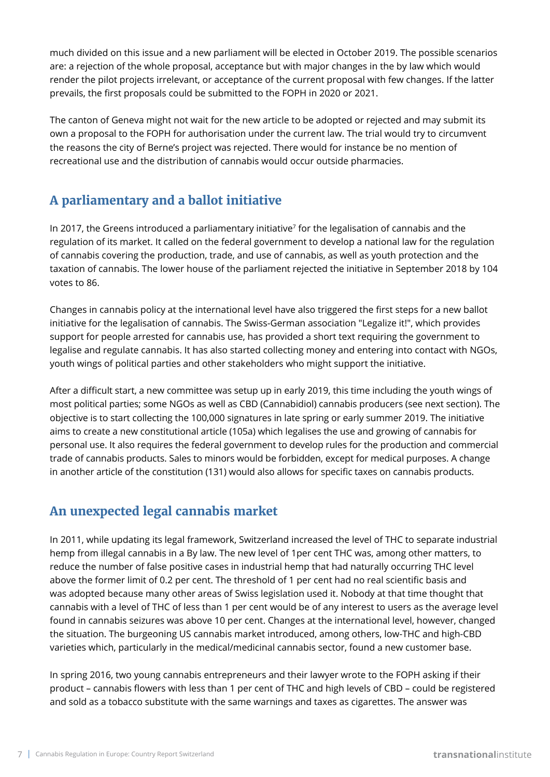much divided on this issue and a new parliament will be elected in October 2019. The possible scenarios are: a rejection of the whole proposal, acceptance but with major changes in the by law which would render the pilot projects irrelevant, or acceptance of the current proposal with few changes. If the latter prevails, the first proposals could be submitted to the FOPH in 2020 or 2021.

The canton of Geneva might not wait for the new article to be adopted or rejected and may submit its own a proposal to the FOPH for authorisation under the current law. The trial would try to circumvent the reasons the city of Berne's project was rejected. There would for instance be no mention of recreational use and the distribution of cannabis would occur outside pharmacies.

# **A parliamentary and a ballot initiative**

In 2017, the Greens introduced a parliamentary initiative<sup>7</sup> for the legalisation of cannabis and the regulation of its market. It called on the federal government to develop a national law for the regulation of cannabis covering the production, trade, and use of cannabis, as well as youth protection and the taxation of cannabis. The lower house of the parliament rejected the initiative in September 2018 by 104 votes to 86.

Changes in cannabis policy at the international level have also triggered the first steps for a new ballot initiative for the legalisation of cannabis. The Swiss-German association "Legalize it!", which provides support for people arrested for cannabis use, has provided a short text requiring the government to legalise and regulate cannabis. It has also started collecting money and entering into contact with NGOs, youth wings of political parties and other stakeholders who might support the initiative.

After a difficult start, a new committee was setup up in early 2019, this time including the youth wings of most political parties; some NGOs as well as CBD (Cannabidiol) cannabis producers (see next section). The objective is to start collecting the 100,000 signatures in late spring or early summer 2019. The initiative aims to create a new constitutional article (105a) which legalises the use and growing of cannabis for personal use. It also requires the federal government to develop rules for the production and commercial trade of cannabis products. Sales to minors would be forbidden, except for medical purposes. A change in another article of the constitution (131) would also allows for specific taxes on cannabis products.

## **An unexpected legal cannabis market**

In 2011, while updating its legal framework, Switzerland increased the level of THC to separate industrial hemp from illegal cannabis in a By law. The new level of 1per cent THC was, among other matters, to reduce the number of false positive cases in industrial hemp that had naturally occurring THC level above the former limit of 0.2 per cent. The threshold of 1 per cent had no real scientific basis and was adopted because many other areas of Swiss legislation used it. Nobody at that time thought that cannabis with a level of THC of less than 1 per cent would be of any interest to users as the average level found in cannabis seizures was above 10 per cent. Changes at the international level, however, changed the situation. The burgeoning US cannabis market introduced, among others, low-THC and high-CBD varieties which, particularly in the medical/medicinal cannabis sector, found a new customer base.

In spring 2016, two young cannabis entrepreneurs and their lawyer wrote to the FOPH asking if their product – cannabis flowers with less than 1 per cent of THC and high levels of CBD – could be registered and sold as a tobacco substitute with the same warnings and taxes as cigarettes. The answer was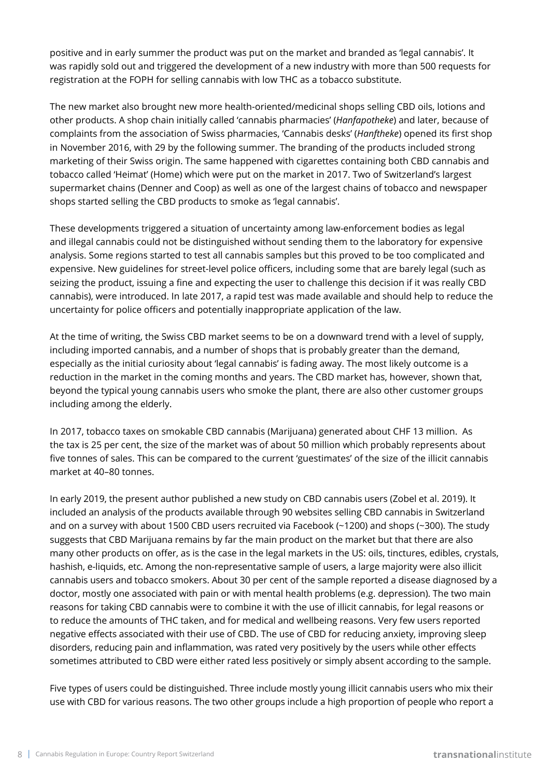positive and in early summer the product was put on the market and branded as 'legal cannabis'. It was rapidly sold out and triggered the development of a new industry with more than 500 requests for registration at the FOPH for selling cannabis with low THC as a tobacco substitute.

The new market also brought new more health-oriented/medicinal shops selling CBD oils, lotions and other products. A shop chain initially called 'cannabis pharmacies' (*Hanfapotheke*) and later, because of complaints from the association of Swiss pharmacies, 'Cannabis desks' (*Hanftheke*) opened its first shop in November 2016, with 29 by the following summer. The branding of the products included strong marketing of their Swiss origin. The same happened with cigarettes containing both CBD cannabis and tobacco called 'Heimat' (Home) which were put on the market in 2017. Two of Switzerland's largest supermarket chains (Denner and Coop) as well as one of the largest chains of tobacco and newspaper shops started selling the CBD products to smoke as 'legal cannabis'.

These developments triggered a situation of uncertainty among law-enforcement bodies as legal and illegal cannabis could not be distinguished without sending them to the laboratory for expensive analysis. Some regions started to test all cannabis samples but this proved to be too complicated and expensive. New guidelines for street-level police officers, including some that are barely legal (such as seizing the product, issuing a fine and expecting the user to challenge this decision if it was really CBD cannabis), were introduced. In late 2017, a rapid test was made available and should help to reduce the uncertainty for police officers and potentially inappropriate application of the law.

At the time of writing, the Swiss CBD market seems to be on a downward trend with a level of supply, including imported cannabis, and a number of shops that is probably greater than the demand, especially as the initial curiosity about 'legal cannabis' is fading away. The most likely outcome is a reduction in the market in the coming months and years. The CBD market has, however, shown that, beyond the typical young cannabis users who smoke the plant, there are also other customer groups including among the elderly.

In 2017, tobacco taxes on smokable CBD cannabis (Marijuana) generated about CHF 13 million. As the tax is 25 per cent, the size of the market was of about 50 million which probably represents about five tonnes of sales. This can be compared to the current 'guestimates' of the size of the illicit cannabis market at 40–80 tonnes.

In early 2019, the present author published a new study on CBD cannabis users (Zobel et al. 2019). It included an analysis of the products available through 90 websites selling CBD cannabis in Switzerland and on a survey with about 1500 CBD users recruited via Facebook (~1200) and shops (~300). The study suggests that CBD Marijuana remains by far the main product on the market but that there are also many other products on offer, as is the case in the legal markets in the US: oils, tinctures, edibles, crystals, hashish, e-liquids, etc. Among the non-representative sample of users, a large majority were also illicit cannabis users and tobacco smokers. About 30 per cent of the sample reported a disease diagnosed by a doctor, mostly one associated with pain or with mental health problems (e.g. depression). The two main reasons for taking CBD cannabis were to combine it with the use of illicit cannabis, for legal reasons or to reduce the amounts of THC taken, and for medical and wellbeing reasons. Very few users reported negative effects associated with their use of CBD. The use of CBD for reducing anxiety, improving sleep disorders, reducing pain and inflammation, was rated very positively by the users while other effects sometimes attributed to CBD were either rated less positively or simply absent according to the sample.

Five types of users could be distinguished. Three include mostly young illicit cannabis users who mix their use with CBD for various reasons. The two other groups include a high proportion of people who report a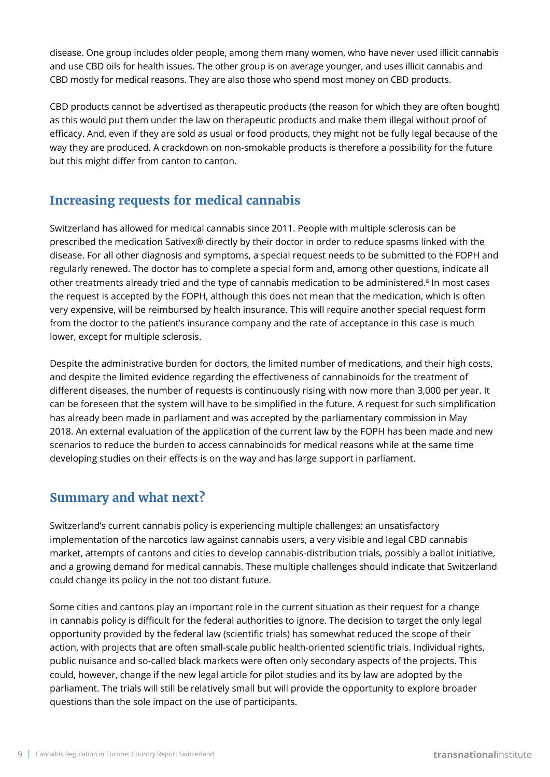disease. One group includes older people, among them many women, who have never used illicit cannabis and use CBD oils for health issues. The other group is on average younger, and uses illicit cannabis and CBD mostly for medical reasons. They are also those who spend most money on CBD products.

CBD products cannot be advertised as therapeutic products (the reason for which they are often bought) as this would put them under the law on therapeutic products and make them illegal without proof of efficacy. And, even if they are sold as usual or food products, they might not be fully legal because of the way they are produced. A crackdown on non-smokable products is therefore a possibility for the future but this might differ from canton to canton.

## **Increasing requests for medical cannabis**

Switzerland has allowed for medical cannabis since 2011. People with multiple sclerosis can be prescribed the medication Sativex® directly by their doctor in order to reduce spasms linked with the disease. For all other diagnosis and symptoms, a special request needs to be submitted to the FOPH and regularly renewed. The doctor has to complete a special form and, among other questions, indicate all other treatments already tried and the type of cannabis medication to be administered.<sup>8</sup> In most cases the request is accepted by the FOPH, although this does not mean that the medication, which is often very expensive, will be reimbursed by health insurance. This will require another special request form from the doctor to the patient's insurance company and the rate of acceptance in this case is much lower, except for multiple sclerosis.

Despite the administrative burden for doctors, the limited number of medications, and their high costs, and despite the limited evidence regarding the effectiveness of cannabinoids for the treatment of different diseases, the number of requests is continuously rising with now more than 3,000 per year. It can be foreseen that the system will have to be simplified in the future. A request for such simplification has already been made in parliament and was accepted by the parliamentary commission in May 2018. An external evaluation of the application of the current law by the FOPH has been made and new scenarios to reduce the burden to access cannabinoids for medical reasons while at the same time developing studies on their effects is on the way and has large support in parliament.

## **Summary and what next?**

Switzerland's current cannabis policy is experiencing multiple challenges: an unsatisfactory implementation of the narcotics law against cannabis users, a very visible and legal CBD cannabis market, attempts of cantons and cities to develop cannabis-distribution trials, possibly a ballot initiative, and a growing demand for medical cannabis. These multiple challenges should indicate that Switzerland could change its policy in the not too distant future.

Some cities and cantons play an important role in the current situation as their request for a change in cannabis policy is difficult for the federal authorities to ignore. The decision to target the only legal opportunity provided by the federal law (scientific trials) has somewhat reduced the scope of their action, with projects that are often small-scale public health-oriented scientific trials. Individual rights, public nuisance and so-called black markets were often only secondary aspects of the projects. This could, however, change if the new legal article for pilot studies and its by law are adopted by the parliament. The trials will still be relatively small but will provide the opportunity to explore broader questions than the sole impact on the use of participants.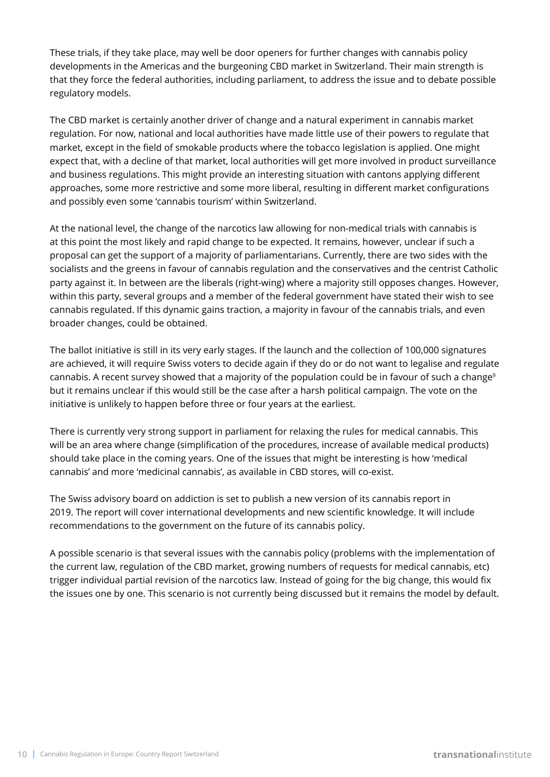These trials, if they take place, may well be door openers for further changes with cannabis policy developments in the Americas and the burgeoning CBD market in Switzerland. Their main strength is that they force the federal authorities, including parliament, to address the issue and to debate possible regulatory models.

The CBD market is certainly another driver of change and a natural experiment in cannabis market regulation. For now, national and local authorities have made little use of their powers to regulate that market, except in the field of smokable products where the tobacco legislation is applied. One might expect that, with a decline of that market, local authorities will get more involved in product surveillance and business regulations. This might provide an interesting situation with cantons applying different approaches, some more restrictive and some more liberal, resulting in different market configurations and possibly even some 'cannabis tourism' within Switzerland.

At the national level, the change of the narcotics law allowing for non-medical trials with cannabis is at this point the most likely and rapid change to be expected. It remains, however, unclear if such a proposal can get the support of a majority of parliamentarians. Currently, there are two sides with the socialists and the greens in favour of cannabis regulation and the conservatives and the centrist Catholic party against it. In between are the liberals (right-wing) where a majority still opposes changes. However, within this party, several groups and a member of the federal government have stated their wish to see cannabis regulated. If this dynamic gains traction, a majority in favour of the cannabis trials, and even broader changes, could be obtained.

The ballot initiative is still in its very early stages. If the launch and the collection of 100,000 signatures are achieved, it will require Swiss voters to decide again if they do or do not want to legalise and regulate cannabis. A recent survey showed that a majority of the population could be in favour of such a change<sup>9</sup> but it remains unclear if this would still be the case after a harsh political campaign. The vote on the initiative is unlikely to happen before three or four years at the earliest.

There is currently very strong support in parliament for relaxing the rules for medical cannabis. This will be an area where change (simplification of the procedures, increase of available medical products) should take place in the coming years. One of the issues that might be interesting is how 'medical cannabis' and more 'medicinal cannabis', as available in CBD stores, will co-exist.

The Swiss advisory board on addiction is set to publish a new version of its cannabis report in 2019. The report will cover international developments and new scientific knowledge. It will include recommendations to the government on the future of its cannabis policy.

A possible scenario is that several issues with the cannabis policy (problems with the implementation of the current law, regulation of the CBD market, growing numbers of requests for medical cannabis, etc) trigger individual partial revision of the narcotics law. Instead of going for the big change, this would fix the issues one by one. This scenario is not currently being discussed but it remains the model by default.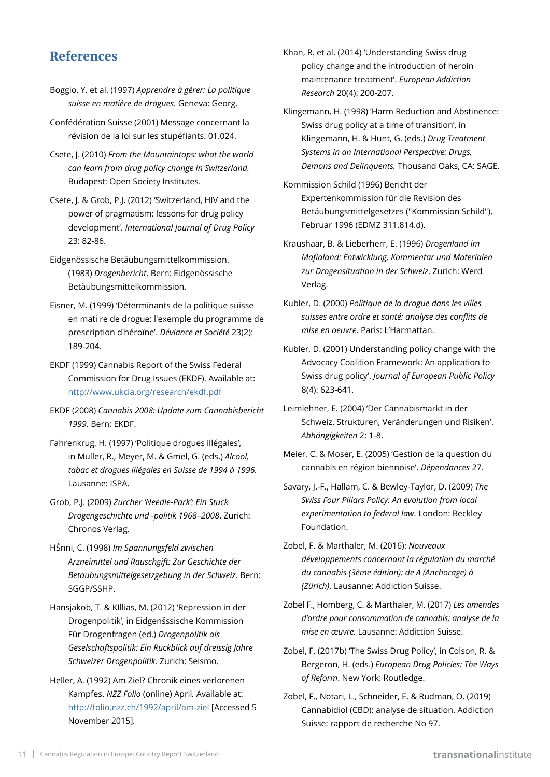#### **References**

- Boggio, Y. et al. (1997) *Apprendre à gérer: La politique suisse en matière de drogues.* Geneva: Georg.
- Confédération Suisse (2001) Message concernant la révision de la loi sur les stupéfiants. 01.024.
- Csete, J. (2010) *From the Mountaintops: what the world can learn from drug policy change in Switzerland.* Budapest: Open Society Institutes.
- Csete, J. & Grob, P.J. (2012) 'Switzerland, HIV and the power of pragmatism: lessons for drug policy development'. *International Journal of Drug Policy* 23: 82-86.
- Eidgenössische Betäubungsmittelkommission. (1983) *Drogenbericht*. Bern: Eidgenössische Betäubungsmittelkommission.
- Eisner, M. (1999) 'Déterminants de la politique suisse en mati re de drogue: l'exemple du programme de prescription d'héroïne'. *Déviance et Société* 23(2): 189-204.
- EKDF (1999) Cannabis Report of the Swiss Federal Commission for Drug Issues (EKDF). Available at: <http://www.ukcia.org/research/ekdf.pdf>
- EKDF (2008) *Cannabis 2008: Update zum Cannabisbericht 1999*. Bern: EKDF.
- Fahrenkrug, H. (1997) 'Politique drogues illégales', in Muller, R., Meyer, M. & Gmel, G. (eds.) *Alcool, tabac et drogues illégales en Suisse de 1994 à 1996.*  Lausanne: ISPA.
- Grob, P.J. (2009) *Zurcher 'Needle-Park': Ein Stuck Drogengeschichte und -politik 1968*–*2008*. Zurich: Chronos Verlag.
- HŠnni, C. (1998) *Im Spannungsfeld zwischen Arzneimittel und Rauschgift: Zur Geschichte der Betaubungsmittelgesetzgebung in der Schweiz.* Bern: SGGP/SSHP.
- Hansjakob, T. & KIllias, M. (2012) 'Repression in der Drogenpolitik', in Eidgenšssische Kommission Für Drogenfragen (ed.) *Drogenpolitik als Geselschaftspolitik: Ein Ruckblick auf dreissig Jahre Schweizer Drogenpolitik.* Zurich: Seismo.
- Heller, A. (1992) Am Ziel? Chronik eines verlorenen Kampfes. *NZZ Folio* (online) April*.* Available at: <http://folio.nzz.ch/1992/april/am-ziel>[Accessed 5 November 2015]*.*
- Khan, R. et al. (2014) 'Understanding Swiss drug policy change and the introduction of heroin maintenance treatment'. *European Addiction Research* 20(4): 200-207.
- Klingemann, H. (1998) 'Harm Reduction and Abstinence: Swiss drug policy at a time of transition', in Klingemann, H. & Hunt, G. (eds.) *Drug Treatment Systems in an International Perspective: Drugs, Demons and Delinquents.* Thousand Oaks, CA: SAGE.
- Kommission Schild (1996) Bericht der Expertenkommission für die Revision des Betäubungsmittelgesetzes ("Kommission Schild"), Februar 1996 (EDMZ 311.814.d).
- Kraushaar, B. & Lieberherr, E. (1996) *Drogenland im Mafialand: Entwicklung, Kommentar und Materialen zur Drogensituation in der Schweiz*. Zurich: Werd Verlag.
- Kubler, D. (2000) *Politique de la drogue dans les villes suisses entre ordre et santé: analyse des conflits de mise en oeuvre.* Paris: L'Harmattan.
- Kubler, D. (2001) Understanding policy change with the Advocacy Coalition Framework: An application to Swiss drug policy'. *Journal of European Public Policy* 8(4): 623-641.
- Leimlehner, E. (2004) 'Der Cannabismarkt in der Schweiz. Strukturen, Veränderungen und Risiken'. *Abhängigkeiten* 2: 1-8.
- Meier, C. & Moser, E. (2005) 'Gestion de la question du cannabis en région biennoise'. *Dépendances* 27.
- Savary, J.-F., Hallam, C. & Bewley-Taylor, D. (2009) *The Swiss Four Pillars Policy: An evolution from local experimentation to federal law*. London: Beckley Foundation.
- Zobel, F. & Marthaler, M. (2016): *Nouveaux développements concernant la régulation du marché du cannabis (3ème édition): de A (Anchorage) à (Zürich)*. Lausanne: Addiction Suisse.
- Zobel F., Homberg, C. & Marthaler, M. (2017) *Les amendes d'ordre pour consommation de cannabis: analyse de la mise en œuvre.* Lausanne: Addiction Suisse.
- Zobel, F. (2017b) 'The Swiss Drug Policy', in Colson, R. & Bergeron, H. (eds.) *European Drug Policies: The Ways of Reform*. New York: Routledge.
- Zobel, F., Notari, L., Schneider, E. & Rudman, O. (2019) Cannabidiol (CBD): analyse de situation. Addiction Suisse: rapport de recherche No 97.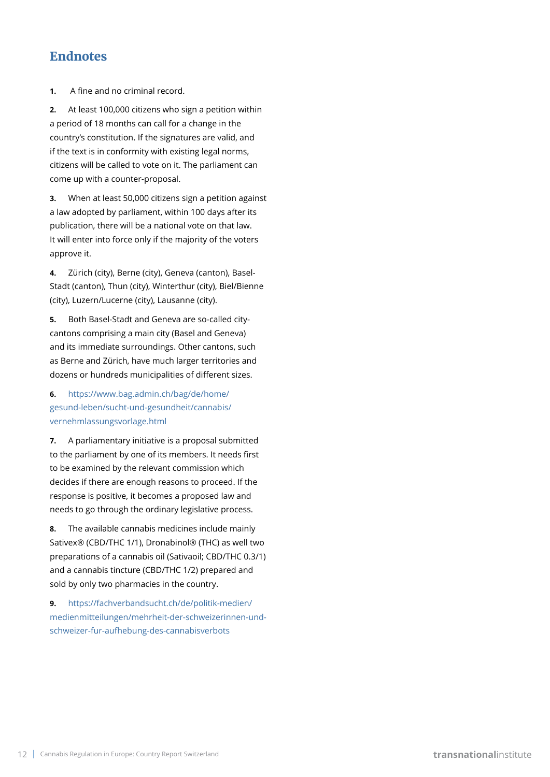#### **Endnotes**

**1.** A fine and no criminal record.

**2.** At least 100,000 citizens who sign a petition within a period of 18 months can call for a change in the country's constitution. If the signatures are valid, and if the text is in conformity with existing legal norms, citizens will be called to vote on it. The parliament can come up with a counter-proposal.

**3.** When at least 50,000 citizens sign a petition against a law adopted by parliament, within 100 days after its publication, there will be a national vote on that law. It will enter into force only if the majority of the voters approve it.

**4.** Zürich (city), Berne (city), Geneva (canton), Basel-Stadt (canton), Thun (city), Winterthur (city), Biel/Bienne (city), Luzern/Lucerne (city), Lausanne (city).

**5.** Both Basel-Stadt and Geneva are so-called citycantons comprising a main city (Basel and Geneva) and its immediate surroundings. Other cantons, such as Berne and Zürich, have much larger territories and dozens or hundreds municipalities of different sizes.

#### **6.** [https://www.bag.admin.ch/bag/de/home/](https://www.bag.admin.ch/bag/de/home/gesund-leben/sucht-und-gesundheit/cannabis/vernehmlassungsvorlage.html) [gesund-leben/sucht-und-gesundheit/cannabis/](https://www.bag.admin.ch/bag/de/home/gesund-leben/sucht-und-gesundheit/cannabis/vernehmlassungsvorlage.html) [vernehmlassungsvorlage.html](https://www.bag.admin.ch/bag/de/home/gesund-leben/sucht-und-gesundheit/cannabis/vernehmlassungsvorlage.html)

**7.** A parliamentary initiative is a proposal submitted to the parliament by one of its members. It needs first to be examined by the relevant commission which decides if there are enough reasons to proceed. If the response is positive, it becomes a proposed law and needs to go through the ordinary legislative process.

**8.** The available cannabis medicines include mainly Sativex® (CBD/THC 1/1), Dronabinol® (THC) as well two preparations of a cannabis oil (Sativaoil; CBD/THC 0.3/1) and a cannabis tincture (CBD/THC 1/2) prepared and sold by only two pharmacies in the country.

**9.** [https://fachverbandsucht.ch/de/politik-medien/](https://fachverbandsucht.ch/de/politik-medien/medienmitteilungen/mehrheit-der-schweizerinnen-und-schweizer-fur-aufhebung-des-cannabisverbots) [medienmitteilungen/mehrheit-der-schweizerinnen-und](https://fachverbandsucht.ch/de/politik-medien/medienmitteilungen/mehrheit-der-schweizerinnen-und-schweizer-fur-aufhebung-des-cannabisverbots)[schweizer-fur-aufhebung-des-cannabisverbots](https://fachverbandsucht.ch/de/politik-medien/medienmitteilungen/mehrheit-der-schweizerinnen-und-schweizer-fur-aufhebung-des-cannabisverbots)